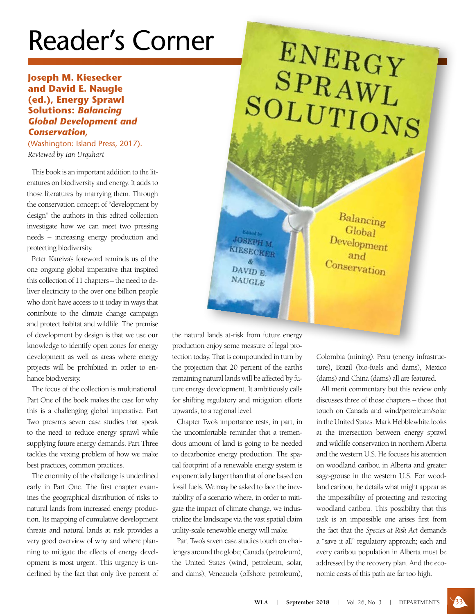## Reader's Corner

## **Joseph M. Kiesecker and David E. Naugle (ed.), Energy Sprawl Solutions:** *Balancing Global Development and Conservation,*

(Washington: Island Press, 2017). *Reviewed by Ian Urquhart*

This book is an important addition to the literatures on biodiversity and energy. It adds to those literatures by marrying them. Through the conservation concept of "development by design" the authors in this edited collection investigate how we can meet two pressing needs – increasing energy production and protecting biodiversity.

Peter Kareiva's foreword reminds us of the one ongoing global imperative that inspired this collection of 11 chapters – the need to deliver electricity to the over one billion people who don't have access to it today in ways that contribute to the climate change campaign and protect habitat and wildlife. The premise of development by design is that we use our knowledge to identify open zones for energy development as well as areas where energy projects will be prohibited in order to enhance biodiversity.

The focus of the collection is multinational. Part One of the book makes the case for why this is a challenging global imperative. Part Two presents seven case studies that speak to the need to reduce energy sprawl while supplying future energy demands. Part Three tackles the vexing problem of how we make best practices, common practices.

The enormity of the challenge is underlined early in Part One. The first chapter examines the geographical distribution of risks to natural lands from increased energy production. Its mapping of cumulative development threats and natural lands at risk provides a very good overview of why and where planning to mitigate the effects of energy development is most urgent. This urgency is underlined by the fact that only five percent of

## ENERGY  $SPRAWL$ SOLUTIONS

**JOSEPH M.** KIESECKER DAVID E NAUGLE

Balancing Global Development and Conservation

the natural lands at-risk from future energy production enjoy some measure of legal protection today. That is compounded in turn by the projection that 20 percent of the earth's remaining natural lands will be affected by future energy development. It ambitiously calls for shifting regulatory and mitigation efforts upwards, to a regional level.

Chapter Two's importance rests, in part, in the uncomfortable reminder that a tremendous amount of land is going to be needed to decarbonize energy production. The spatial footprint of a renewable energy system is exponentially larger than that of one based on fossil fuels. We may be asked to face the inevitability of a scenario where, in order to mitigate the impact of climate change, we industrialize the landscape via the vast spatial claim utility-scale renewable energy will make.

Part Two's seven case studies touch on challenges around the globe; Canada (petroleum), the United States (wind, petroleum, solar, and dams), Venezuela (offshore petroleum), Colombia (mining), Peru (energy infrastructure), Brazil (bio-fuels and dams), Mexico (dams) and China (dams) all are featured.

All merit commentary but this review only discusses three of those chapters – those that touch on Canada and wind/petroleum/solar in the United States. Mark Hebblewhite looks at the intersection between energy sprawl and wildlife conservation in northern Alberta and the western U.S. He focuses his attention on woodland caribou in Alberta and greater sage-grouse in the western U.S. For woodland caribou, he details what might appear as the impossibility of protecting and restoring woodland caribou. This possibility that this task is an impossible one arises first from the fact that the *Species at Risk Act* demands a "save it all" regulatory approach; each and every caribou population in Alberta must be addressed by the recovery plan. And the economic costs of this path are far too high.